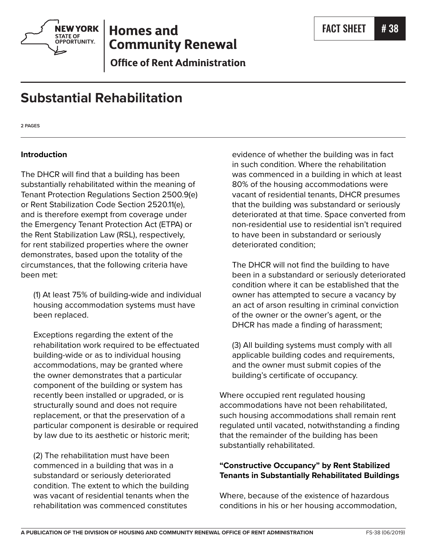

# **Homes and Community Renewal**

**Office of Rent Administration** 

# **Substantial Rehabilitation**

**2 PAGES**

## **Introduction**

The DHCR will find that a building has been substantially rehabilitated within the meaning of Tenant Protection Regulations Section 2500.9(e) or Rent Stabilization Code Section 2520.11(e), and is therefore exempt from coverage under the Emergency Tenant Protection Act (ETPA) or the Rent Stabilization Law (RSL), respectively, for rent stabilized properties where the owner demonstrates, based upon the totality of the circumstances, that the following criteria have been met:

(1) At least 75% of building-wide and individual housing accommodation systems must have been replaced.

Exceptions regarding the extent of the rehabilitation work required to be effectuated building-wide or as to individual housing accommodations, may be granted where the owner demonstrates that a particular component of the building or system has recently been installed or upgraded, or is structurally sound and does not require replacement, or that the preservation of a particular component is desirable or required by law due to its aesthetic or historic merit;

(2) The rehabilitation must have been commenced in a building that was in a substandard or seriously deteriorated condition. The extent to which the building was vacant of residential tenants when the rehabilitation was commenced constitutes

evidence of whether the building was in fact in such condition. Where the rehabilitation was commenced in a building in which at least 80% of the housing accommodations were vacant of residential tenants, DHCR presumes that the building was substandard or seriously deteriorated at that time. Space converted from non-residential use to residential isn't required to have been in substandard or seriously deteriorated condition;

The DHCR will not find the building to have been in a substandard or seriously deteriorated condition where it can be established that the owner has attempted to secure a vacancy by an act of arson resulting in criminal conviction of the owner or the owner's agent, or the DHCR has made a finding of harassment;

(3) All building systems must comply with all applicable building codes and requirements, and the owner must submit copies of the building's certificate of occupancy.

Where occupied rent regulated housing accommodations have not been rehabilitated, such housing accommodations shall remain rent regulated until vacated, notwithstanding a finding that the remainder of the building has been substantially rehabilitated.

# **"Constructive Occupancy" by Rent Stabilized Tenants in Substantially Rehabilitated Buildings**

Where, because of the existence of hazardous conditions in his or her housing accommodation,